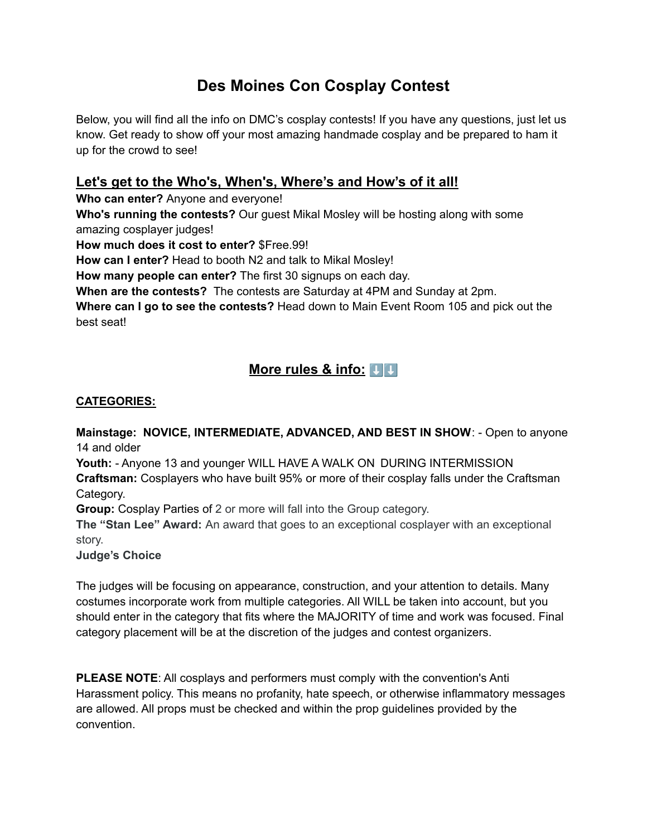# **Des Moines Con Cosplay Contest**

Below, you will find all the info on DMC's cosplay contests! If you have any questions, just let us know. Get ready to show off your most amazing handmade cosplay and be prepared to ham it up for the crowd to see!

### **Let's get to the Who's, When's, Where's and How's of it all!**

**Who can enter?** Anyone and everyone!

**Who's running the contests?** Our guest Mikal Mosley will be hosting along with some amazing cosplayer judges!

**How much does it cost to enter?** \$Free.99!

**How can I enter?** Head to booth N2 and talk to Mikal Mosley!

**How many people can enter?** The first 30 signups on each day.

**When are the contests?** The contests are Saturday at 4PM and Sunday at 2pm.

**Where can I go to see the contests?** Head down to Main Event Room 105 and pick out the best seat!

### **More** rules & info:  $\boxed{1}$

#### **CATEGORIES:**

**Mainstage: NOVICE, INTERMEDIATE, ADVANCED, AND BEST IN SHOW**: - Open to anyone 14 and older

**Youth:** - Anyone 13 and younger WILL HAVE A WALK ON DURING INTERMISSION **Craftsman:** Cosplayers who have built 95% or more of their cosplay falls under the Craftsman Category.

**Group:** Cosplay Parties of 2 or more will fall into the Group category.

**The "Stan Lee" Award:** An award that goes to an exceptional cosplayer with an exceptional story.

**Judge's Choice**

The judges will be focusing on appearance, construction, and your attention to details. Many costumes incorporate work from multiple categories. All WILL be taken into account, but you should enter in the category that fits where the MAJORITY of time and work was focused. Final category placement will be at the discretion of the judges and contest organizers.

**PLEASE NOTE**: All cosplays and performers must comply with the convention's Anti Harassment policy. This means no profanity, hate speech, or otherwise inflammatory messages are allowed. All props must be checked and within the prop guidelines provided by the convention.